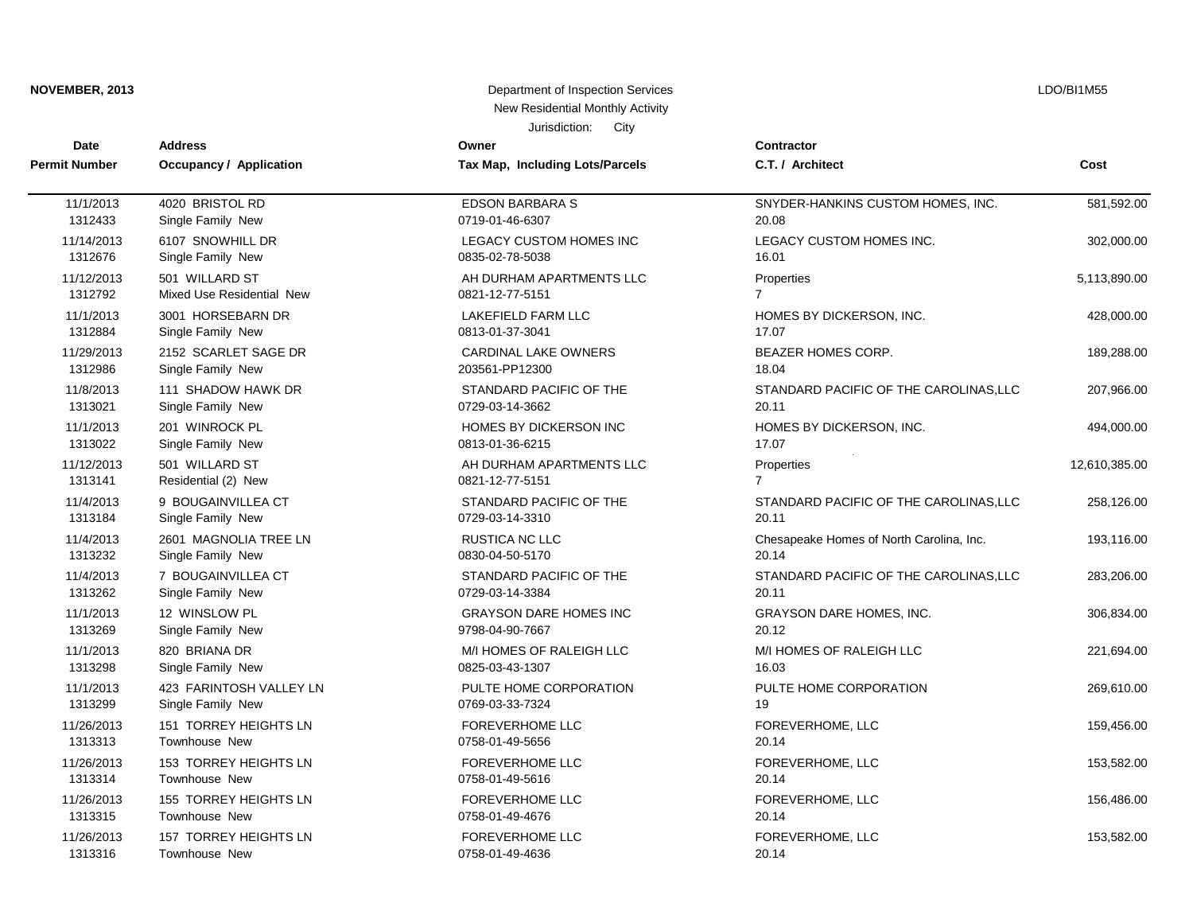| Department of Inspection Services<br>NOVEMBER, 2013 |                                       |                                             |                                          | LDO/BI1M55    |  |
|-----------------------------------------------------|---------------------------------------|---------------------------------------------|------------------------------------------|---------------|--|
| New Residential Monthly Activity                    |                                       |                                             |                                          |               |  |
| Jurisdiction:<br>City                               |                                       |                                             |                                          |               |  |
| Date                                                | <b>Address</b>                        | Owner                                       | <b>Contractor</b>                        | Cost          |  |
| <b>Permit Number</b>                                | <b>Occupancy / Application</b>        | Tax Map, Including Lots/Parcels             | C.T. / Architect                         |               |  |
| 11/1/2013                                           | 4020 BRISTOL RD                       | <b>EDSON BARBARA S</b>                      | SNYDER-HANKINS CUSTOM HOMES, INC.        | 581,592.00    |  |
| 1312433                                             | Single Family New                     | 0719-01-46-6307                             | 20.08                                    |               |  |
| 11/14/2013                                          | 6107 SNOWHILL DR                      | LEGACY CUSTOM HOMES INC                     | LEGACY CUSTOM HOMES INC.                 | 302,000.00    |  |
| 1312676                                             | Single Family New                     | 0835-02-78-5038                             | 16.01                                    |               |  |
| 11/12/2013                                          | 501 WILLARD ST                        | AH DURHAM APARTMENTS LLC                    | Properties                               | 5,113,890.00  |  |
| 1312792                                             | Mixed Use Residential New             | 0821-12-77-5151                             | $\overline{7}$                           |               |  |
| 11/1/2013                                           | 3001 HORSEBARN DR                     | <b>LAKEFIELD FARM LLC</b>                   | HOMES BY DICKERSON, INC.                 | 428,000.00    |  |
| 1312884                                             | Single Family New                     | 0813-01-37-3041                             | 17.07                                    |               |  |
| 11/29/2013                                          | 2152 SCARLET SAGE DR                  | <b>CARDINAL LAKE OWNERS</b>                 | BEAZER HOMES CORP.                       | 189,288.00    |  |
| 1312986                                             | Single Family New                     | 203561-PP12300                              | 18.04                                    |               |  |
| 11/8/2013                                           | 111 SHADOW HAWK DR                    | STANDARD PACIFIC OF THE                     | STANDARD PACIFIC OF THE CAROLINAS, LLC   | 207,966.00    |  |
| 1313021                                             | Single Family New                     | 0729-03-14-3662                             | 20.11                                    |               |  |
| 11/1/2013                                           | 201 WINROCK PL                        | HOMES BY DICKERSON INC                      | HOMES BY DICKERSON, INC.                 | 494,000.00    |  |
| 1313022                                             | Single Family New                     | 0813-01-36-6215                             | 17.07                                    |               |  |
| 11/12/2013<br>1313141                               | 501 WILLARD ST<br>Residential (2) New | AH DURHAM APARTMENTS LLC<br>0821-12-77-5151 | Properties                               | 12,610,385.00 |  |
| 11/4/2013                                           | 9 BOUGAINVILLEA CT                    | STANDARD PACIFIC OF THE                     | STANDARD PACIFIC OF THE CAROLINAS, LLC   | 258,126.00    |  |
| 1313184                                             | Single Family New                     | 0729-03-14-3310                             | 20.11                                    |               |  |
| 11/4/2013                                           | 2601 MAGNOLIA TREE LN                 | <b>RUSTICA NC LLC</b>                       | Chesapeake Homes of North Carolina, Inc. | 193,116.00    |  |
| 1313232                                             | Single Family New                     | 0830-04-50-5170                             | 20.14                                    |               |  |
| 11/4/2013                                           | 7 BOUGAINVILLEA CT                    | STANDARD PACIFIC OF THE                     | STANDARD PACIFIC OF THE CAROLINAS, LLC   | 283,206.00    |  |
| 1313262                                             | Single Family New                     | 0729-03-14-3384                             | 20.11                                    |               |  |
| 11/1/2013                                           | 12 WINSLOW PL                         | <b>GRAYSON DARE HOMES INC</b>               | <b>GRAYSON DARE HOMES, INC.</b>          | 306,834.00    |  |
| 1313269                                             | Single Family New                     | 9798-04-90-7667                             | 20.12                                    |               |  |
| 11/1/2013                                           | 820 BRIANA DR                         | M/I HOMES OF RALEIGH LLC                    | M/I HOMES OF RALEIGH LLC                 | 221,694.00    |  |
| 1313298                                             | Single Family New                     | 0825-03-43-1307                             | 16.03                                    |               |  |
| 11/1/2013                                           | 423 FARINTOSH VALLEY LN               | PULTE HOME CORPORATION                      | PULTE HOME CORPORATION                   | 269,610.00    |  |
| 1313299                                             | Single Family New                     | 0769-03-33-7324                             | 19                                       |               |  |
| 11/26/2013                                          | 151 TORREY HEIGHTS LN                 | <b>FOREVERHOME LLC</b>                      | FOREVERHOME, LLC                         | 159,456.00    |  |
| 1313313                                             | Townhouse New                         | 0758-01-49-5656                             | 20.14                                    |               |  |
| 11/26/2013                                          | 153 TORREY HEIGHTS LN                 | <b>FOREVERHOME LLC</b>                      | FOREVERHOME, LLC                         | 153,582.00    |  |
| 1313314                                             | Townhouse New                         | 0758-01-49-5616                             | 20.14                                    |               |  |
| 11/26/2013                                          | 155 TORREY HEIGHTS LN                 | FOREVERHOME LLC                             | FOREVERHOME, LLC                         | 156,486.00    |  |
| 1313315                                             | Townhouse New                         | 0758-01-49-4676                             | 20.14                                    |               |  |
| 11/26/2013                                          | 157 TORREY HEIGHTS LN                 | <b>FOREVERHOME LLC</b>                      | FOREVERHOME, LLC                         | 153,582.00    |  |
| 1313316                                             | Townhouse New                         | 0758-01-49-4636                             | 20.14                                    |               |  |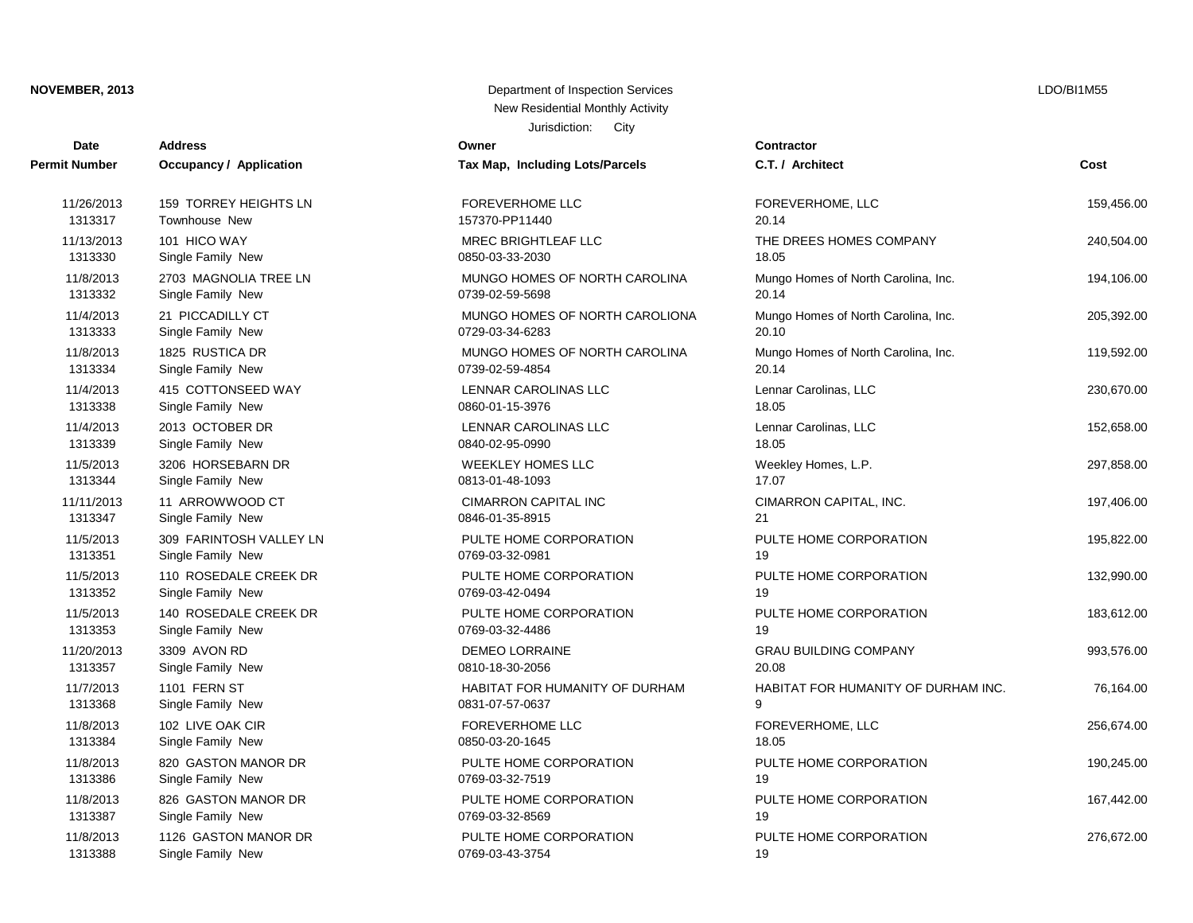| Date                 | <b>Address</b>                 | Owner                           | <b>Contractor</b>                   |            |
|----------------------|--------------------------------|---------------------------------|-------------------------------------|------------|
| <b>Permit Number</b> | <b>Occupancy / Application</b> | Tax Map, Including Lots/Parcels | C.T. / Architect                    | Cost       |
| 11/26/2013           | 159 TORREY HEIGHTS LN          | <b>FOREVERHOME LLC</b>          | FOREVERHOME, LLC                    | 159,456.00 |
| 1313317              | Townhouse New                  | 157370-PP11440                  | 20.14                               |            |
| 11/13/2013           | 101 HICO WAY                   | MREC BRIGHTLEAF LLC             | THE DREES HOMES COMPANY             | 240,504.00 |
| 1313330              | Single Family New              | 0850-03-33-2030                 | 18.05                               |            |
| 11/8/2013            | 2703 MAGNOLIA TREE LN          | MUNGO HOMES OF NORTH CAROLINA   | Mungo Homes of North Carolina, Inc. | 194,106.00 |
| 1313332              | Single Family New              | 0739-02-59-5698                 | 20.14                               |            |
| 11/4/2013            | 21 PICCADILLY CT               | MUNGO HOMES OF NORTH CAROLIONA  | Mungo Homes of North Carolina, Inc. | 205,392.00 |
| 1313333              | Single Family New              | 0729-03-34-6283                 | 20.10                               |            |
| 11/8/2013            | 1825 RUSTICA DR                | MUNGO HOMES OF NORTH CAROLINA   | Mungo Homes of North Carolina, Inc. | 119,592.00 |
| 1313334              | Single Family New              | 0739-02-59-4854                 | 20.14                               |            |
| 11/4/2013            | 415 COTTONSEED WAY             | <b>LENNAR CAROLINAS LLC</b>     | Lennar Carolinas, LLC               | 230,670.00 |
| 1313338              | Single Family New              | 0860-01-15-3976                 | 18.05                               |            |
| 11/4/2013            | 2013 OCTOBER DR                | LENNAR CAROLINAS LLC            | Lennar Carolinas, LLC               | 152,658.00 |
| 1313339              | Single Family New              | 0840-02-95-0990                 | 18.05                               |            |
| 11/5/2013            | 3206 HORSEBARN DR              | <b>WEEKLEY HOMES LLC</b>        | Weekley Homes, L.P.                 | 297,858.00 |
| 1313344              | Single Family New              | 0813-01-48-1093                 | 17.07                               |            |
| 11/11/2013           | 11 ARROWWOOD CT                | <b>CIMARRON CAPITAL INC</b>     | CIMARRON CAPITAL, INC.              | 197,406.00 |
| 1313347              | Single Family New              | 0846-01-35-8915                 | 21                                  |            |
| 11/5/2013            | 309 FARINTOSH VALLEY LN        | PULTE HOME CORPORATION          | PULTE HOME CORPORATION              | 195,822.00 |
| 1313351              | Single Family New              | 0769-03-32-0981                 | 19                                  |            |
| 11/5/2013            | 110 ROSEDALE CREEK DR          | PULTE HOME CORPORATION          | PULTE HOME CORPORATION              | 132,990.00 |
| 1313352              | Single Family New              | 0769-03-42-0494                 | 19                                  |            |
| 11/5/2013            | 140 ROSEDALE CREEK DR          | PULTE HOME CORPORATION          | PULTE HOME CORPORATION              | 183,612.00 |
| 1313353              | Single Family New              | 0769-03-32-4486                 | 19                                  |            |
| 11/20/2013           | 3309 AVON RD                   | <b>DEMEO LORRAINE</b>           | <b>GRAU BUILDING COMPANY</b>        | 993,576.00 |
| 1313357              | Single Family New              | 0810-18-30-2056                 | 20.08                               |            |
| 11/7/2013            | 1101 FERN ST                   | HABITAT FOR HUMANITY OF DURHAM  | HABITAT FOR HUMANITY OF DURHAM INC. | 76,164.00  |
| 1313368              | Single Family New              | 0831-07-57-0637                 | $\mathsf{Q}$                        |            |
| 11/8/2013            | 102 LIVE OAK CIR               | <b>FOREVERHOME LLC</b>          | FOREVERHOME, LLC                    | 256,674.00 |
| 1313384              | Single Family New              | 0850-03-20-1645                 | 18.05                               |            |
| 11/8/2013            | 820 GASTON MANOR DR            | PULTE HOME CORPORATION          | PULTE HOME CORPORATION              | 190,245.00 |
| 1313386              | Single Family New              | 0769-03-32-7519                 | 19                                  |            |
| 11/8/2013            | 826 GASTON MANOR DR            | PULTE HOME CORPORATION          | PULTE HOME CORPORATION              | 167,442.00 |
| 1313387              | Single Family New              | 0769-03-32-8569                 | 19                                  |            |
| 11/8/2013            | 1126 GASTON MANOR DR           | PULTE HOME CORPORATION          | PULTE HOME CORPORATION              | 276,672.00 |
| 1313388              | Single Family New              | 0769-03-43-3754                 | 19                                  |            |

Jurisdiction: City **NOVEMBER, 2013** Department of Inspection Services New Residential Monthly Activity

LDO/BI1M55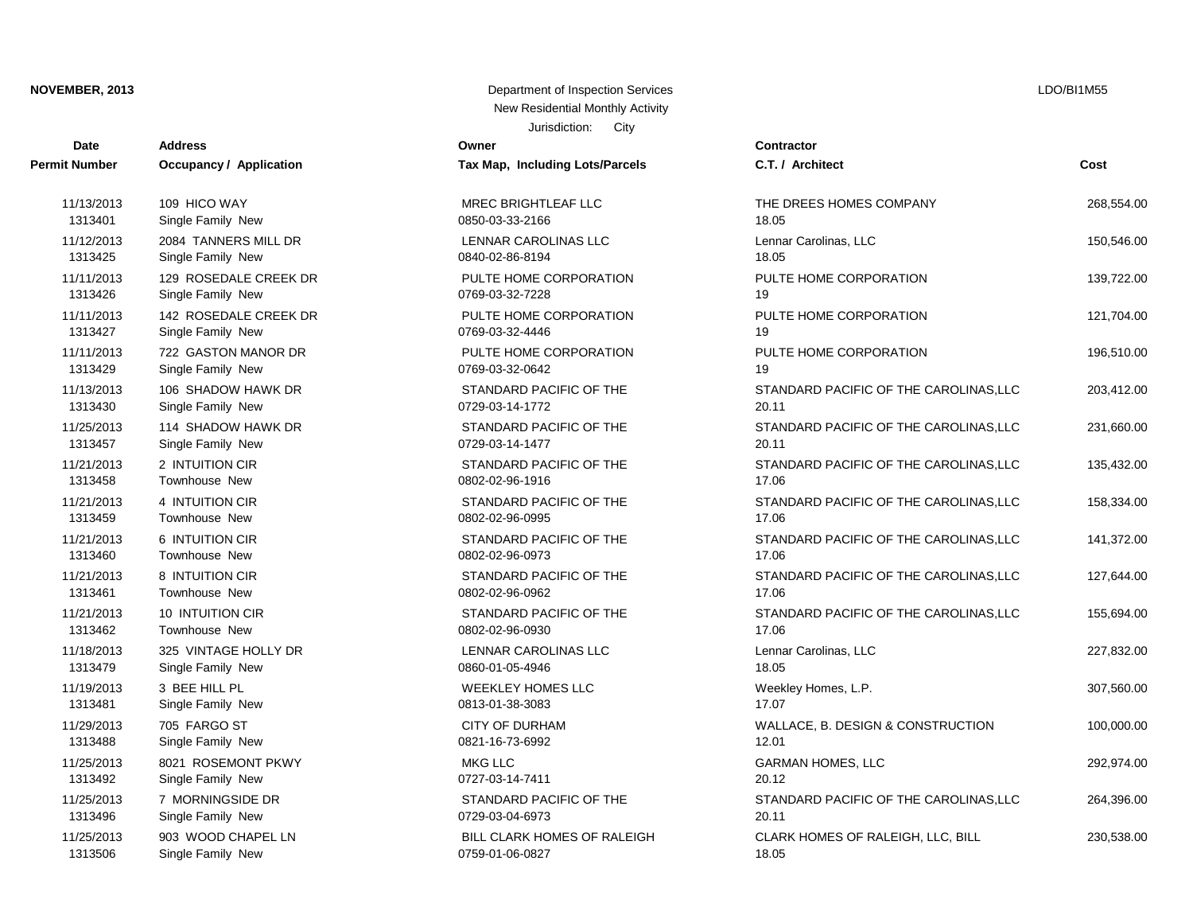| Date                 | <b>Address</b>                 | Owner                           | Contractor      |
|----------------------|--------------------------------|---------------------------------|-----------------|
| <b>Permit Number</b> | <b>Occupancy / Application</b> | Tax Map, Including Lots/Parcels | C.T. / Arch     |
| 11/13/2013           | 109 HICO WAY                   | MREC BRIGHTLEAF LLC             | THE DREE        |
| 1313401              | Single Family New              | 0850-03-33-2166                 | 18.05           |
| 11/12/2013           | 2084 TANNERS MILL DR           | LENNAR CAROLINAS LLC            | Lennar Car      |
| 1313425              | Single Family New              | 0840-02-86-8194                 | 18.05           |
| 11/11/2013           | 129 ROSEDALE CREEK DR          | PULTE HOME CORPORATION          | PULTE HO        |
| 1313426              | Single Family New              | 0769-03-32-7228                 | 19              |
| 11/11/2013           | 142 ROSEDALE CREEK DR          | PULTE HOME CORPORATION          | PULTE HO        |
| 1313427              | Single Family New              | 0769-03-32-4446                 | 19              |
| 11/11/2013           | 722 GASTON MANOR DR            | PULTE HOME CORPORATION          | PULTE HO        |
| 1313429              | Single Family New              | 0769-03-32-0642                 | 19              |
| 11/13/2013           | 106 SHADOW HAWK DR             | STANDARD PACIFIC OF THE         | <b>STANDARI</b> |
| 1313430              | Single Family New              | 0729-03-14-1772                 | 20.11           |
| 11/25/2013           | 114 SHADOW HAWK DR             | STANDARD PACIFIC OF THE         | <b>STANDARI</b> |
| 1313457              | Single Family New              | 0729-03-14-1477                 | 20.11           |
| 11/21/2013           | 2 INTUITION CIR                | STANDARD PACIFIC OF THE         | <b>STANDARI</b> |
| 1313458              | Townhouse New                  | 0802-02-96-1916                 | 17.06           |
| 11/21/2013           | 4 INTUITION CIR                | STANDARD PACIFIC OF THE         | <b>STANDARI</b> |
| 1313459              | Townhouse New                  | 0802-02-96-0995                 | 17.06           |
| 11/21/2013           | 6 INTUITION CIR                | STANDARD PACIFIC OF THE         | <b>STANDARI</b> |
| 1313460              | Townhouse New                  | 0802-02-96-0973                 | 17.06           |
| 11/21/2013           | 8 INTUITION CIR                | STANDARD PACIFIC OF THE         | <b>STANDARI</b> |
| 1313461              | Townhouse New                  | 0802-02-96-0962                 | 17.06           |
| 11/21/2013           | 10 INTUITION CIR               | STANDARD PACIFIC OF THE         | <b>STANDARI</b> |
| 1313462              | Townhouse New                  | 0802-02-96-0930                 | 17.06           |
| 11/18/2013           | 325 VINTAGE HOLLY DR           | LENNAR CAROLINAS LLC            | Lennar Car      |
| 1313479              | Single Family New              | 0860-01-05-4946                 | 18.05           |
| 11/19/2013           | 3 BEE HILL PL                  | <b>WEEKLEY HOMES LLC</b>        | Weekley H       |
| 1313481              | Single Family New              | 0813-01-38-3083                 | 17.07           |
| 11/29/2013           | 705 FARGO ST                   | <b>CITY OF DURHAM</b>           | WALLACE,        |
| 1313488              | Single Family New              | 0821-16-73-6992                 | 12.01           |
| 11/25/2013           | 8021 ROSEMONT PKWY             | <b>MKG LLC</b>                  | <b>GARMAN H</b> |
| 1313492              | Single Family New              | 0727-03-14-7411                 | 20.12           |
| 11/25/2013           | 7 MORNINGSIDE DR               | STANDARD PACIFIC OF THE         | <b>STANDARI</b> |
| 1313496              | Single Family New              | 0729-03-04-6973                 | 20.11           |
| 11/25/2013           | 903 WOOD CHAPEL LN             | BILL CLARK HOMES OF RALEIGH     | <b>CLARK HO</b> |
| 1212506              | Single Family Now              | 0750.01.06.0927                 | 19 O.F.         |

# Jurisdiction: City **NOVEMBER, 2013** Department of Inspection Services New Residential Monthly Activity

| Tax Map, Including Lots/Parcels | C              |
|---------------------------------|----------------|
| <b>MREC BRIGHTLEAF LLC</b>      | TI             |
| 0850-03-33-2166                 | 18             |
| <b>LENNAR CAROLINAS LLC</b>     | L6             |
| 0840-02-86-8194                 | 18             |
| PULTE HOME CORPORATION          | P              |
| 0769-03-32-7228                 | 19             |
| PULTE HOME CORPORATION          | P              |
| 0769-03-32-4446                 | 19             |
| PULTE HOME CORPORATION          | P              |
| 0769-03-32-0642                 | 19             |
| STANDARD PACIFIC OF THE         | S.             |
| 0729-03-14-1772                 | 2(             |
| STANDARD PACIFIC OF THE         | S.             |
| 0729-03-14-1477                 | 2(             |
| STANDARD PACIFIC OF THE         | S.             |
| 0802-02-96-1916                 | 1 <sup>7</sup> |
| STANDARD PACIFIC OF THE         | S.             |
| 0802-02-96-0995                 | 1 <sup>7</sup> |
| STANDARD PACIFIC OF THE         | S.             |
| 0802-02-96-0973                 | 1 <sup>7</sup> |
| STANDARD PACIFIC OF THE         | S.             |
| 0802-02-96-0962                 | 1 <sup>7</sup> |
| STANDARD PACIFIC OF THE         | S.             |
| 0802-02-96-0930                 | 1 <sup>7</sup> |
| <b>LENNAR CAROLINAS LLC</b>     | L٤             |
| 0860-01-05-4946                 | 18             |

1313506 Single Family New 0759-01-06-0827 0759-01-06-0827

| υαιτ       | Auuress                        | UWIE                               | contractor                             |            |
|------------|--------------------------------|------------------------------------|----------------------------------------|------------|
| it Number  | <b>Occupancy / Application</b> | Tax Map, Including Lots/Parcels    | C.T. / Architect                       | Cost       |
| 11/13/2013 | 109 HICO WAY                   | <b>MREC BRIGHTLEAF LLC</b>         | THE DREES HOMES COMPANY                | 268,554.00 |
| 1313401    | Single Family New              | 0850-03-33-2166                    | 18.05                                  |            |
| 11/12/2013 | 2084 TANNERS MILL DR           | <b>LENNAR CAROLINAS LLC</b>        | Lennar Carolinas, LLC                  | 150,546.00 |
| 1313425    | Single Family New              | 0840-02-86-8194                    | 18.05                                  |            |
| 11/11/2013 | 129 ROSEDALE CREEK DR          | PULTE HOME CORPORATION             | PULTE HOME CORPORATION                 | 139,722.00 |
| 1313426    | Single Family New              | 0769-03-32-7228                    | 19                                     |            |
| 11/11/2013 | 142 ROSEDALE CREEK DR          | PULTE HOME CORPORATION             | PULTE HOME CORPORATION                 | 121,704.00 |
| 1313427    | Single Family New              | 0769-03-32-4446                    | 19                                     |            |
| 11/11/2013 | 722 GASTON MANOR DR            | PULTE HOME CORPORATION             | PULTE HOME CORPORATION                 | 196,510.00 |
| 1313429    | Single Family New              | 0769-03-32-0642                    | 19                                     |            |
| 11/13/2013 | 106 SHADOW HAWK DR             | STANDARD PACIFIC OF THE            | STANDARD PACIFIC OF THE CAROLINAS, LLC | 203,412.00 |
| 1313430    | Single Family New              | 0729-03-14-1772                    | 20.11                                  |            |
| 11/25/2013 | 114 SHADOW HAWK DR             | STANDARD PACIFIC OF THE            | STANDARD PACIFIC OF THE CAROLINAS, LLC | 231,660.00 |
| 1313457    | Single Family New              | 0729-03-14-1477                    | 20.11                                  |            |
| 11/21/2013 | 2 INTUITION CIR                | STANDARD PACIFIC OF THE            | STANDARD PACIFIC OF THE CAROLINAS, LLC | 135,432.00 |
| 1313458    | Townhouse New                  | 0802-02-96-1916                    | 17.06                                  |            |
| 11/21/2013 | 4 INTUITION CIR                | STANDARD PACIFIC OF THE            | STANDARD PACIFIC OF THE CAROLINAS, LLC | 158,334.00 |
| 1313459    | Townhouse New                  | 0802-02-96-0995                    | 17.06                                  |            |
| 11/21/2013 | 6 INTUITION CIR                | STANDARD PACIFIC OF THE            | STANDARD PACIFIC OF THE CAROLINAS, LLC | 141,372.00 |
| 1313460    | <b>Townhouse New</b>           | 0802-02-96-0973                    | 17.06                                  |            |
| 11/21/2013 | 8 INTUITION CIR                | STANDARD PACIFIC OF THE            | STANDARD PACIFIC OF THE CAROLINAS, LLC | 127,644.00 |
| 1313461    | Townhouse New                  | 0802-02-96-0962                    | 17.06                                  |            |
| 11/21/2013 | 10 INTUITION CIR               | STANDARD PACIFIC OF THE            | STANDARD PACIFIC OF THE CAROLINAS, LLC | 155,694.00 |
| 1313462    | <b>Townhouse New</b>           | 0802-02-96-0930                    | 17.06                                  |            |
| 11/18/2013 | 325 VINTAGE HOLLY DR           | <b>LENNAR CAROLINAS LLC</b>        | Lennar Carolinas, LLC                  | 227,832.00 |
| 1313479    | Single Family New              | 0860-01-05-4946                    | 18.05                                  |            |
| 11/19/2013 | 3 BEE HILL PL                  | <b>WEEKLEY HOMES LLC</b>           | Weekley Homes, L.P.                    | 307,560.00 |
| 1313481    | Single Family New              | 0813-01-38-3083                    | 17.07                                  |            |
| 11/29/2013 | 705 FARGO ST                   | <b>CITY OF DURHAM</b>              | WALLACE, B. DESIGN & CONSTRUCTION      | 100,000.00 |
| 1313488    | Single Family New              | 0821-16-73-6992                    | 12.01                                  |            |
| 11/25/2013 | 8021 ROSEMONT PKWY             | <b>MKG LLC</b>                     | <b>GARMAN HOMES, LLC</b>               | 292,974.00 |
| 1313492    | Single Family New              | 0727-03-14-7411                    | 20.12                                  |            |
| 11/25/2013 | 7 MORNINGSIDE DR               | STANDARD PACIFIC OF THE            | STANDARD PACIFIC OF THE CAROLINAS, LLC | 264,396.00 |
| 1313496    | Single Family New              | 0729-03-04-6973                    | 20.11                                  |            |
| 11/25/2013 | 903 WOOD CHAPEL LN             | <b>BILL CLARK HOMES OF RALEIGH</b> | CLARK HOMES OF RALEIGH, LLC, BILL      | 230,538.00 |

LDO/BI1M55